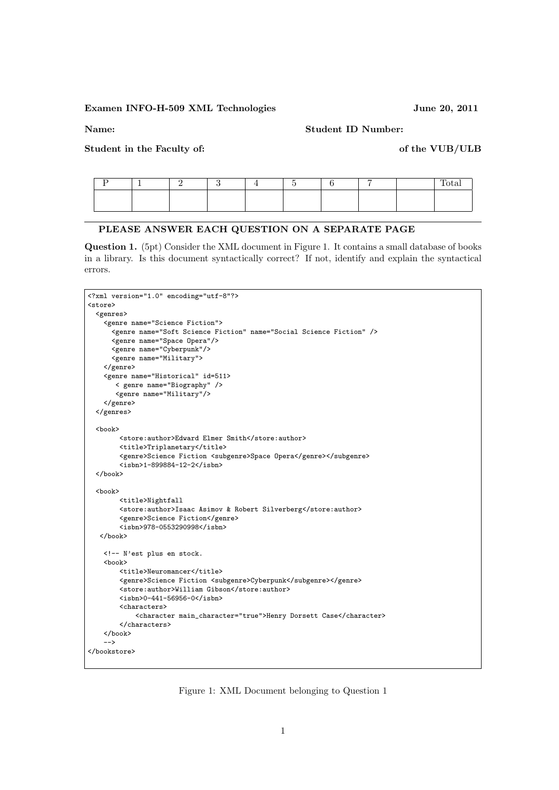## Examen INFO-H-509 XML Technologies June 20, 2011

Name: Student ID Number:

Student in the Faculty of: of the VUB/ULB

|  |  |  |  | -- |
|--|--|--|--|----|
|  |  |  |  |    |
|  |  |  |  |    |

## PLEASE ANSWER EACH QUESTION ON A SEPARATE PAGE

Question 1. (5pt) Consider the XML document in Figure 1. It contains a small database of books in a library. Is this document syntactically correct? If not, identify and explain the syntactical errors.

```
<?xml version="1.0" encoding="utf-8"?>
<store>
 <genres>
    <genre name="Science Fiction">
      <genre name="Soft Science Fiction" name="Social Science Fiction" />
      <genre name="Space Opera"/>
     <genre name="Cyberpunk"/>
     <genre name="Military">
   </genre>
    <genre name="Historical" id=511>
       < genre name="Biography" />
       <genre name="Military"/>
   </genre>
 </genres>
 <book>
        <store:author>Edward Elmer Smith</store:author>
        <title>Triplanetary</title>
        <genre>Science Fiction <subgenre>Space Opera</genre></subgenre>
        <isbn>1-899884-12-2</isbn>
 </book>
 <book>
        <title>Nightfall
        <store:author>Isaac Asimov & Robert Silverberg</store:author>
        <genre>Science Fiction</genre>
        <isbn>978-0553290998</isbn>
  </book>
   <!-- N'est plus en stock.
   <hook><title>Neuromancer</title>
        <genre>Science Fiction <subgenre>Cyberpunk</subgenre></genre>
        <store:author>William Gibson</store:author>
        <isbn>0-441-56956-0</isbn>
        <characters>
            <character main_character="true">Henry Dorsett Case</character>
        </characters>
   </book>
    -->
</bookstore>
```
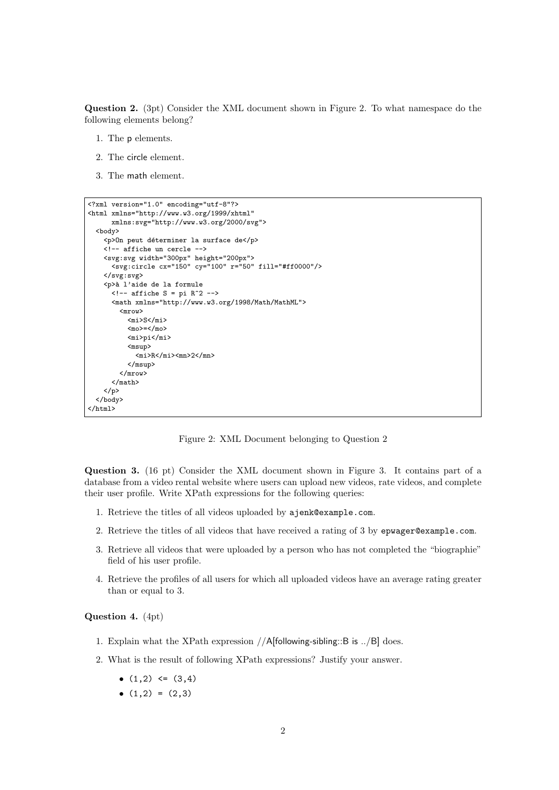Question 2. (3pt) Consider the XML document shown in Figure 2. To what namespace do the following elements belong?

- 1. The p elements.
- 2. The circle element.
- 3. The math element.

```
<?xml version="1.0" encoding="utf-8"?>
<html xmlns="http://www.w3.org/1999/xhtml"
      xmlns:svg="http://www.w3.org/2000/svg">
  <body>
    p>0n peut déterminer la surface dep>0<!-- affiche un cercle -->
    <svg:svg width="300px" height="200px">
      <svg:circle cx="150" cy="100" r="50" fill="#ff0000"/>
    </svg:svg>
    <p>`a l'aide de la formule
      \langle!-- affiche S = pi R^2 -->
       <math xmlns="http://www.w3.org/1998/Math/MathML">
         <mrow>
           <sub>mi</sub>><sub>S</sub><sub>mi</sub></sub>
           <sub>mo</sub>>=</mo></sub>
           <mi>pi</mi>
           <msup>
              \frac{1}{R}<\frac{1}{R}<\frac{1}{R}</msup>
         </mrow>
       \frac{2}{\pi}</p>
  </body>
</html>
```
Figure 2: XML Document belonging to Question 2

Question 3. (16 pt) Consider the XML document shown in Figure 3. It contains part of a database from a video rental website where users can upload new videos, rate videos, and complete their user profile. Write XPath expressions for the following queries:

- 1. Retrieve the titles of all videos uploaded by ajenk@example.com.
- 2. Retrieve the titles of all videos that have received a rating of 3 by epwager@example.com.
- 3. Retrieve all videos that were uploaded by a person who has not completed the "biographie" field of his user profile.
- 4. Retrieve the profiles of all users for which all uploaded videos have an average rating greater than or equal to 3.

Question 4. (4pt)

- 1. Explain what the XPath expression //A[following-sibling::B is ../B] does.
- 2. What is the result of following XPath expressions? Justify your answer.
	- $(1,2) \leq (3,4)$
	- $(1,2) = (2,3)$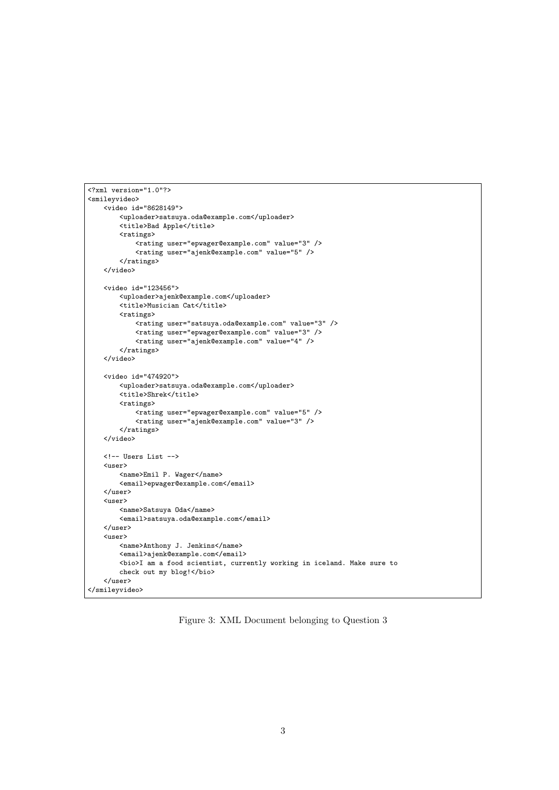```
<?xml version="1.0"?>
<smileyvideo>
    <video id="8628149">
        <uploader>satsuya.oda@example.com</uploader>
        <title>Bad Apple</title>
        <ratings>
            <rating user="epwager@example.com" value="3" />
            <rating user="ajenk@example.com" value="5" />
        \langle/ratings>
   </video>
   <video id="123456">
        <uploader>ajenk@example.com</uploader>
        <title>Musician Cat</title>
        <ratings>
            <rating user="satsuya.oda@example.com" value="3" />
            <rating user="epwager@example.com" value="3" />
            <rating user="ajenk@example.com" value="4" />
        </ratings>
   </video>
    <video id="474920">
        <uploader>satsuya.oda@example.com</uploader>
        <title>Shrek</title>
        <ratings>
            <rating user="epwager@example.com" value="5" />
            <rating user="ajenk@example.com" value="3" />
        \verb|<|ratings|</video>
   <!-- Users List -->
    <user>
        <name>Emil P. Wager</name>
        <email>epwager@example.com</email>
   </user>
    \langleuser\rangle<name>Satsuya Oda</name>
        <email>satsuya.oda@example.com</email>
   </user>
    <user>
        <name>Anthony J. Jenkins</name>
        <email>ajenk@example.com</email>
        <bio>I am a food scientist, currently working in iceland. Make sure to
        check out my blog!</bio>
    </user>
</smileyvideo>
```
Figure 3: XML Document belonging to Question 3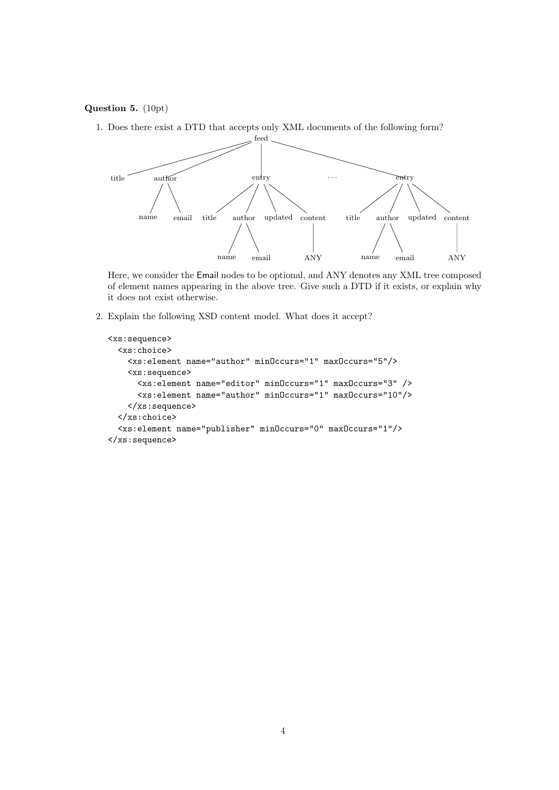## Question 5. (10pt)

1. Does there exist a DTD that accepts only XML documents of the following form?



Here, we consider the Email nodes to be optional, and ANY denotes any XML tree composed of element names appearing in the above tree. Give such a DTD if it exists, or explain why it does not exist otherwise.

2. Explain the following XSD content model. What does it accept?

```
<xs:sequence>
  <xs:choice>
   <xs:element name="author" minOccurs="1" maxOccurs="5"/>
   <xs:sequence>
      <xs:element name="editor" minOccurs="1" maxOccurs="3" />
      <xs:element name="author" minOccurs="1" maxOccurs="10"/>
   </xs:sequence>
 </xs:choice>
  <xs:element name="publisher" minOccurs="0" maxOccurs="1"/>
</xs:sequence>
```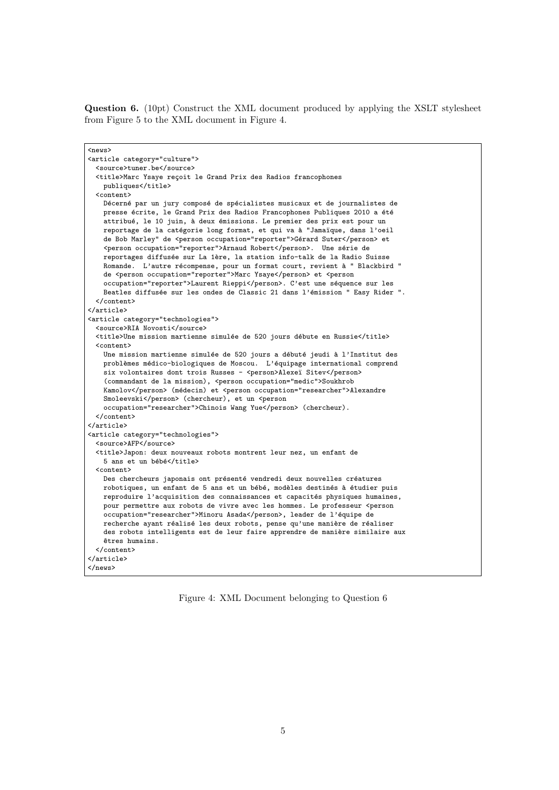Question 6. (10pt) Construct the XML document produced by applying the XSLT stylesheet from Figure 5 to the XML document in Figure 4.

| <news></news>                                                                                                                                    |  |  |  |  |  |  |
|--------------------------------------------------------------------------------------------------------------------------------------------------|--|--|--|--|--|--|
| <article category="culture"></article>                                                                                                           |  |  |  |  |  |  |
| <source/> tuner.be                                                                                                                               |  |  |  |  |  |  |
| <title>Marc Ysaye reçoit le Grand Prix des Radios francophones</title>                                                                           |  |  |  |  |  |  |
| publiques                                                                                                                                        |  |  |  |  |  |  |
| <content></content>                                                                                                                              |  |  |  |  |  |  |
| Décerné par un jury composé de spécialistes musicaux et de journalistes de                                                                       |  |  |  |  |  |  |
| presse écrite, le Grand Prix des Radios Francophones Publiques 2010 a été                                                                        |  |  |  |  |  |  |
| attribué, le 10 juin, à deux émissions. Le premier des prix est pour un                                                                          |  |  |  |  |  |  |
| reportage de la catégorie long format, et qui va à "Jamaïque, dans l'oeil                                                                        |  |  |  |  |  |  |
| de Bob Marley" de <person occupation="reporter">Gérard Suter</person> et                                                                         |  |  |  |  |  |  |
| <person occupation="reporter">Arnaud Robert</person> . Une série de                                                                              |  |  |  |  |  |  |
| reportages diffusée sur La 1ère, la station info-talk de la Radio Suisse                                                                         |  |  |  |  |  |  |
| Romande. L'autre récompense, pour un format court, revient à " Blackbird "                                                                       |  |  |  |  |  |  |
| de <person occupation="reporter">Marc Ysaye</person> et <person< td=""></person<>                                                                |  |  |  |  |  |  |
| occupation="reporter">Laurent Rieppi. C'est une séquence sur les<br>Beatles diffusée sur les ondes de Classic 21 dans l'émission " Easy Rider ". |  |  |  |  |  |  |
|                                                                                                                                                  |  |  |  |  |  |  |
|                                                                                                                                                  |  |  |  |  |  |  |
| <article category="technologies"></article>                                                                                                      |  |  |  |  |  |  |
| <source/> RIA Novosti                                                                                                                            |  |  |  |  |  |  |
| <title>Une mission martienne simulée de 520 jours débute en Russie</title>                                                                       |  |  |  |  |  |  |
| <content></content>                                                                                                                              |  |  |  |  |  |  |
| Une mission martienne simulée de 520 jours a débuté jeudi à l'Institut des                                                                       |  |  |  |  |  |  |
| problèmes médico-biologiques de Moscou. L'équipage international comprend                                                                        |  |  |  |  |  |  |
| six volontaires dont trois Russes - <person>Alexeï Sitev</person>                                                                                |  |  |  |  |  |  |
| (commandant de la mission), <person occupation="medic">Soukhrob</person>                                                                         |  |  |  |  |  |  |
| Kamolov (médecin) et <person occupation="researcher">Alexandre</person>                                                                          |  |  |  |  |  |  |
| Smoleevski (chercheur), et un <person< td=""></person<>                                                                                          |  |  |  |  |  |  |
| occupation="researcher">Chinois Wang Yue (chercheur).                                                                                            |  |  |  |  |  |  |
|                                                                                                                                                  |  |  |  |  |  |  |
|                                                                                                                                                  |  |  |  |  |  |  |
| <article category="technologies"><br/><source/>AFP</article>                                                                                     |  |  |  |  |  |  |
| <title>Japon: deux nouveaux robots montrent leur nez, un enfant de</title>                                                                       |  |  |  |  |  |  |
| 5 ans et un bébé                                                                                                                                 |  |  |  |  |  |  |
| <content></content>                                                                                                                              |  |  |  |  |  |  |
| Des chercheurs japonais ont présenté vendredi deux nouvelles créatures                                                                           |  |  |  |  |  |  |
| robotiques, un enfant de 5 ans et un bébé, modèles destinés à étudier puis                                                                       |  |  |  |  |  |  |
| reproduire l'acquisition des connaissances et capacités physiques humaines,                                                                      |  |  |  |  |  |  |
| pour permettre aux robots de vivre avec les hommes. Le professeur <person< td=""></person<>                                                      |  |  |  |  |  |  |
| occupation="researcher">Minoru Asada, leader de l'équipe de                                                                                      |  |  |  |  |  |  |
| recherche ayant réalisé les deux robots, pense qu'une manière de réaliser                                                                        |  |  |  |  |  |  |
| des robots intelligents est de leur faire apprendre de manière similaire aux                                                                     |  |  |  |  |  |  |
| êtres humains.                                                                                                                                   |  |  |  |  |  |  |
|                                                                                                                                                  |  |  |  |  |  |  |
|                                                                                                                                                  |  |  |  |  |  |  |
|                                                                                                                                                  |  |  |  |  |  |  |

Figure 4: XML Document belonging to Question 6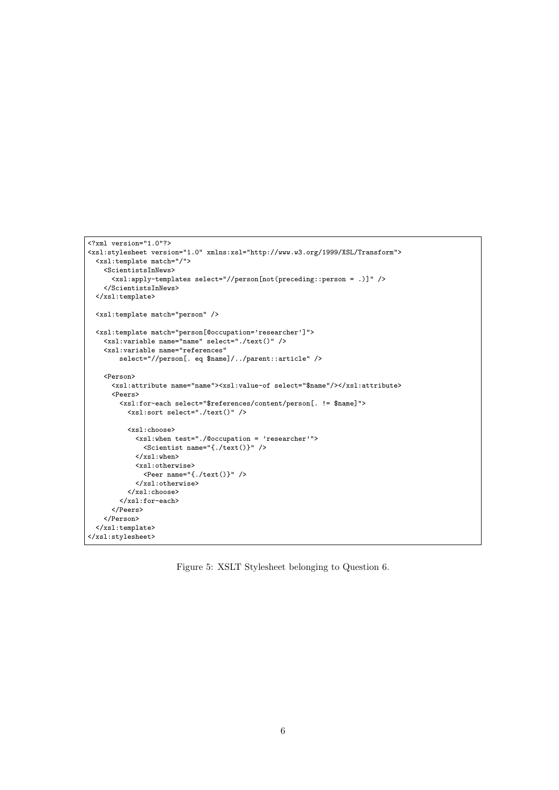```
<?xml version="1.0"?>
<xsl:stylesheet version="1.0" xmlns:xsl="http://www.w3.org/1999/XSL/Transform">
 <xsl:template match="/">
    <ScientistsInNews>
      <xsl:apply-templates select="//person[not(preceding::person = .)]" />
   </ScientistsInNews>
 \langle xsl:template \rangle<xsl:template match="person" />
  <xsl:template match="person[@occupation='researcher']">
    <xsl:variable name="name" select="./text()" />
   <xsl:variable name="references"
       select="//person[. eq $name]/../parent::article" />
    <Person>
      <xsl:attribute name="name"><xsl:value-of select="$name"/></xsl:attribute>
      <Peers>
        <xsl:for-each select="$references/content/person[. != $name]">
          <xsl:sort select="./text()" />
          <xsl:choose>
            <xsl:when test="./@occupation = 'researcher'">
              \zetaScientist name="{./text()}" />
            </xsl:when>
            <xsl:otherwise>
             <Peer name="{./text()}" />
            </xsl:otherwise>
          </xsl:choose>
        </xsl:for-each>
      </Peers>
    </Person>
 </xsl:template>
</xsl:stylesheet>
```
Figure 5: XSLT Stylesheet belonging to Question 6.